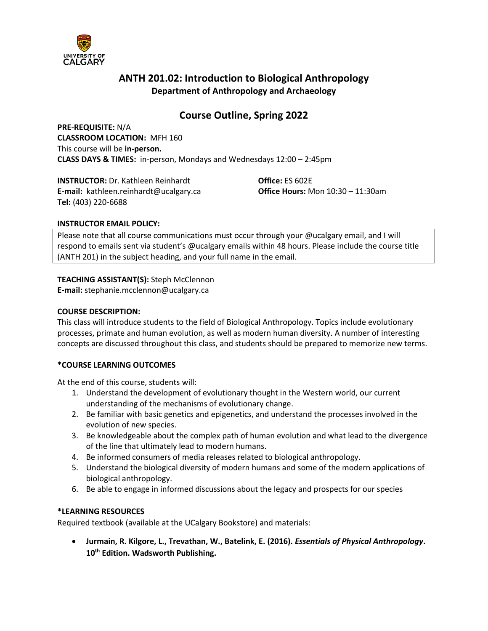

# **ANTH 201.02: Introduction to Biological Anthropology Department of Anthropology and Archaeology**

# **Course Outline, Spring 2022**

**PRE-REQUISITE:** N/A **CLASSROOM LOCATION:** MFH 160 This course will be **in-person. CLASS DAYS & TIMES:** in-person, Mondays and Wednesdays 12:00 – 2:45pm

**INSTRUCTOR:** Dr. Kathleen Reinhardt **Office:** ES 602E **E-mail:** kathleen.reinhardt@ucalgary.ca **Office Hours:** Mon 10:30 – 11:30am **Tel:** (403) 220-6688

### **INSTRUCTOR EMAIL POLICY:**

Please note that all course communications must occur through your @ucalgary email, and I will respond to emails sent via student's @ucalgary emails within 48 hours. Please include the course title (ANTH 201) in the subject heading, and your full name in the email.

**TEACHING ASSISTANT(S):** Steph McClennon

**E-mail:** stephanie.mcclennon@ucalgary.ca

### **COURSE DESCRIPTION:**

This class will introduce students to the field of Biological Anthropology. Topics include evolutionary processes, primate and human evolution, as well as modern human diversity. A number of interesting concepts are discussed throughout this class, and students should be prepared to memorize new terms.

# **\*COURSE LEARNING OUTCOMES**

At the end of this course, students will:

- 1. Understand the development of evolutionary thought in the Western world, our current understanding of the mechanisms of evolutionary change.
- 2. Be familiar with basic genetics and epigenetics, and understand the processes involved in the evolution of new species.
- 3. Be knowledgeable about the complex path of human evolution and what lead to the divergence of the line that ultimately lead to modern humans.
- 4. Be informed consumers of media releases related to biological anthropology.
- 5. Understand the biological diversity of modern humans and some of the modern applications of biological anthropology.
- 6. Be able to engage in informed discussions about the legacy and prospects for our species

### **\*LEARNING RESOURCES**

Required textbook (available at the UCalgary Bookstore) and materials:

• **Jurmain, R. Kilgore, L., Trevathan, W., Batelink, E. (2016).** *Essentials of Physical Anthropology***. 10th Edition. Wadsworth Publishing.**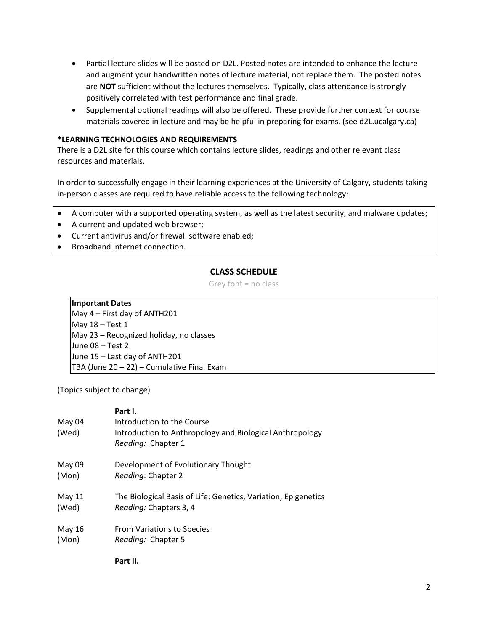- Partial lecture slides will be posted on D2L. Posted notes are intended to enhance the lecture and augment your handwritten notes of lecture material, not replace them. The posted notes are **NOT** sufficient without the lectures themselves. Typically, class attendance is strongly positively correlated with test performance and final grade.
- Supplemental optional readings will also be offered. These provide further context for course materials covered in lecture and may be helpful in preparing for exams. (see d2L.ucalgary.ca)

### **\*LEARNING TECHNOLOGIES AND REQUIREMENTS**

There is a D2L site for this course which contains lecture slides, readings and other relevant class resources and materials.

In order to successfully engage in their learning experiences at the University of Calgary, students taking in-person classes are required to have reliable access to the following technology:

- A computer with a supported operating system, as well as the latest security, and malware updates;
- A current and updated web browser;
- Current antivirus and/or firewall software enabled;
- Broadband internet connection.

# **CLASS SCHEDULE**

Grey font = no class

**Important Dates** May 4 – First day of ANTH201 May 18 – Test 1 May 23 – Recognized holiday, no classes June 08 – Test 2 June 15 – Last day of ANTH201 TBA (June 20 – 22) – Cumulative Final Exam

(Topics subject to change)

| May 04<br>(Wed) | Part I.<br>Introduction to the Course<br>Introduction to Anthropology and Biological Anthropology<br>Reading: Chapter 1 |
|-----------------|-------------------------------------------------------------------------------------------------------------------------|
| May 09          | Development of Evolutionary Thought                                                                                     |
| (Mon)           | Reading: Chapter 2                                                                                                      |
| May 11          | The Biological Basis of Life: Genetics, Variation, Epigenetics                                                          |
| (Wed)           | <i>Reading: Chapters 3, 4</i>                                                                                           |
| May 16          | From Variations to Species                                                                                              |
| (Mon)           | Reading: Chapter 5                                                                                                      |

**Part II.**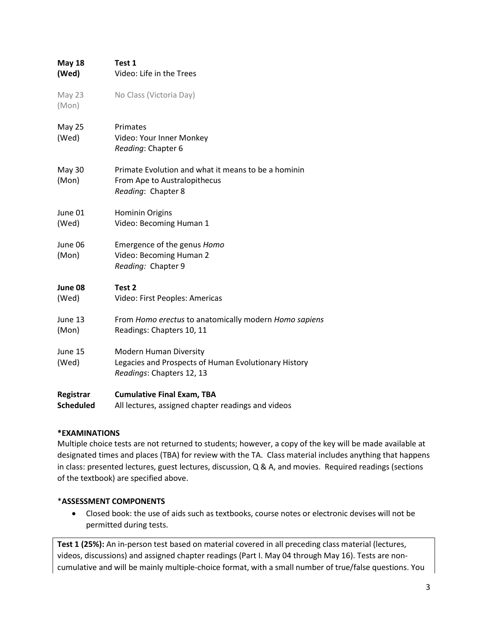| <b>May 18</b>          | Test 1                                                                                                             |  |  |
|------------------------|--------------------------------------------------------------------------------------------------------------------|--|--|
| (Wed)                  | Video: Life in the Trees                                                                                           |  |  |
| May 23<br>(Mon)        | No Class (Victoria Day)                                                                                            |  |  |
| <b>May 25</b><br>(Wed) | Primates<br>Video: Your Inner Monkey<br>Reading: Chapter 6                                                         |  |  |
| <b>May 30</b><br>(Mon) | Primate Evolution and what it means to be a hominin<br>From Ape to Australopithecus<br>Reading: Chapter 8          |  |  |
| June 01                | Hominin Origins                                                                                                    |  |  |
| (Wed)                  | Video: Becoming Human 1                                                                                            |  |  |
| June 06<br>(Mon)       | Emergence of the genus Homo<br>Video: Becoming Human 2<br>Reading: Chapter 9                                       |  |  |
| June 08                | Test 2                                                                                                             |  |  |
| (Wed)                  | Video: First Peoples: Americas                                                                                     |  |  |
| June 13                | From Homo erectus to anatomically modern Homo sapiens                                                              |  |  |
| (Mon)                  | Readings: Chapters 10, 11                                                                                          |  |  |
| June 15<br>(Wed)       | <b>Modern Human Diversity</b><br>Legacies and Prospects of Human Evolutionary History<br>Readings: Chapters 12, 13 |  |  |
| Registrar              | <b>Cumulative Final Exam, TBA</b>                                                                                  |  |  |
| <b>Scheduled</b>       | All lectures, assigned chapter readings and videos                                                                 |  |  |

# **\*EXAMINATIONS**

Multiple choice tests are not returned to students; however, a copy of the key will be made available at designated times and places (TBA) for review with the TA. Class material includes anything that happens in class: presented lectures, guest lectures, discussion, Q & A, and movies. Required readings (sections of the textbook) are specified above.

### \***ASSESSMENT COMPONENTS**

• Closed book: the use of aids such as textbooks, course notes or electronic devises will not be permitted during tests.

**Test 1 (25%):** An in-person test based on material covered in all preceding class material (lectures, videos, discussions) and assigned chapter readings (Part I. May 04 through May 16). Tests are noncumulative and will be mainly multiple-choice format, with a small number of true/false questions. You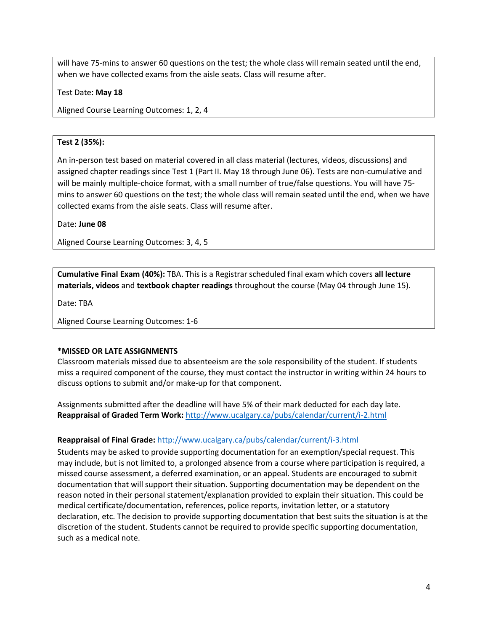will have 75-mins to answer 60 questions on the test; the whole class will remain seated until the end, when we have collected exams from the aisle seats. Class will resume after.

Test Date: **May 18**

Aligned Course Learning Outcomes: 1, 2, 4

### **Test 2 (35%):**

An in-person test based on material covered in all class material (lectures, videos, discussions) and assigned chapter readings since Test 1 (Part II. May 18 through June 06). Tests are non-cumulative and will be mainly multiple-choice format, with a small number of true/false questions. You will have 75 mins to answer 60 questions on the test; the whole class will remain seated until the end, when we have collected exams from the aisle seats. Class will resume after.

Date: **June 08**

Aligned Course Learning Outcomes: 3, 4, 5

**Cumulative Final Exam (40%):** TBA. This is a Registrar scheduled final exam which covers **all lecture materials, videos** and **textbook chapter readings** throughout the course (May 04 through June 15).

Date: TBA

Aligned Course Learning Outcomes: 1-6

### **\*MISSED OR LATE ASSIGNMENTS**

Classroom materials missed due to absenteeism are the sole responsibility of the student. If students miss a required component of the course, they must contact the instructor in writing within 24 hours to discuss options to submit and/or make-up for that component.

Assignments submitted after the deadline will have 5% of their mark deducted for each day late. **Reappraisal of Graded Term Work:** <http://www.ucalgary.ca/pubs/calendar/current/i-2.html>

### **Reappraisal of Final Grade:** <http://www.ucalgary.ca/pubs/calendar/current/i-3.html>

Students may be asked to provide supporting documentation for an exemption/special request. This may include, but is not limited to, a prolonged absence from a course where participation is required, a missed course assessment, a deferred examination, or an appeal. Students are encouraged to submit documentation that will support their situation. Supporting documentation may be dependent on the reason noted in their personal statement/explanation provided to explain their situation. This could be medical certificate/documentation, references, police reports, invitation letter, or a statutory declaration, etc. The decision to provide supporting documentation that best suits the situation is at the discretion of the student. Students cannot be required to provide specific supporting documentation, such as a medical note.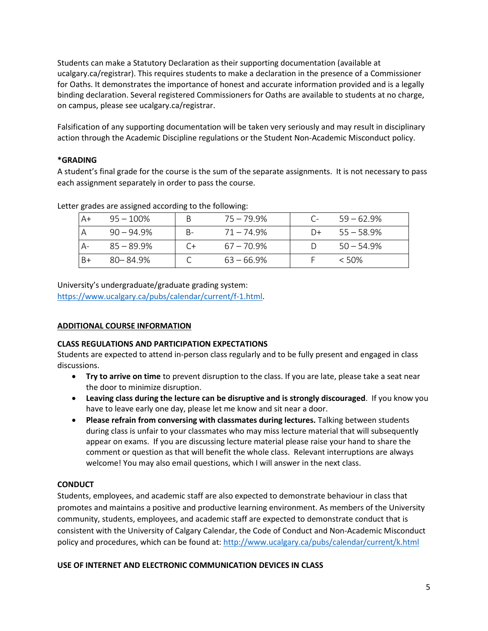Students can make a Statutory Declaration as their supporting documentation (available at ucalgary.ca/registrar). This requires students to make a declaration in the presence of a Commissioner for Oaths. It demonstrates the importance of honest and accurate information provided and is a legally binding declaration. Several registered Commissioners for Oaths are available to students at no charge, on campus, please see ucalgary.ca/registrar.

Falsification of any supporting documentation will be taken very seriously and may result in disciplinary action through the Academic Discipline regulations or the Student Non-Academic Misconduct policy.

# **\*GRADING**

A student's final grade for the course is the sum of the separate assignments. It is not necessary to pass each assignment separately in order to pass the course.

| $AA+$    | $95 - 100\%$  | 75 – 79.9% |    | $59 - 62.9%$ |
|----------|---------------|------------|----|--------------|
| <b>A</b> | $90 - 94.9%$  | 71 – 74.9% | D+ | $55 - 58.9%$ |
| А-       | $85 - 89.9\%$ | 67 – 70.9% |    | $50 - 54.9%$ |
| l B+     | $80 - 84.9%$  | 63 – 66.9% |    | $<$ 50%      |

Letter grades are assigned according to the following:

University's undergraduate/graduate grading system:

[https://www.ucalgary.ca/pubs/calendar/current/f-1.html.](https://www.ucalgary.ca/pubs/calendar/current/f-1.html)

# **ADDITIONAL COURSE INFORMATION**

### **CLASS REGULATIONS AND PARTICIPATION EXPECTATIONS**

Students are expected to attend in-person class regularly and to be fully present and engaged in class discussions.

- **Try to arrive on time** to prevent disruption to the class. If you are late, please take a seat near the door to minimize disruption.
- **Leaving class during the lecture can be disruptive and is strongly discouraged**. If you know you have to leave early one day, please let me know and sit near a door.
- **Please refrain from conversing with classmates during lectures.** Talking between students during class is unfair to your classmates who may miss lecture material that will subsequently appear on exams. If you are discussing lecture material please raise your hand to share the comment or question as that will benefit the whole class. Relevant interruptions are always welcome! You may also email questions, which I will answer in the next class.

# **CONDUCT**

Students, employees, and academic staff are also expected to demonstrate behaviour in class that promotes and maintains a positive and productive learning environment. As members of the University community, students, employees, and academic staff are expected to demonstrate conduct that is consistent with the University of Calgary Calendar, the Code of Conduct and Non-Academic Misconduct policy and procedures, which can be found at:<http://www.ucalgary.ca/pubs/calendar/current/k.html>

# **USE OF INTERNET AND ELECTRONIC COMMUNICATION DEVICES IN CLASS**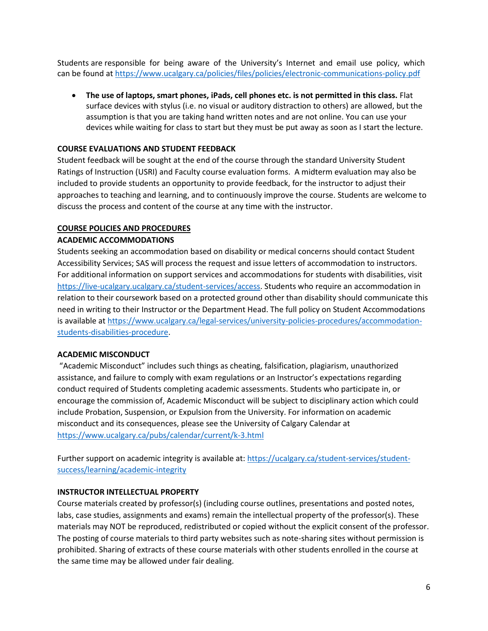Students are responsible for being aware of the University's Internet and email use policy, which can be found at<https://www.ucalgary.ca/policies/files/policies/electronic-communications-policy.pdf>

• **The use of laptops, smart phones, iPads, cell phones etc. is not permitted in this class.** Flat surface devices with stylus (i.e. no visual or auditory distraction to others) are allowed, but the assumption is that you are taking hand written notes and are not online. You can use your devices while waiting for class to start but they must be put away as soon as I start the lecture.

### **COURSE EVALUATIONS AND STUDENT FEEDBACK**

Student feedback will be sought at the end of the course through the standard University Student Ratings of Instruction (USRI) and Faculty course evaluation forms. A midterm evaluation may also be included to provide students an opportunity to provide feedback, for the instructor to adjust their approaches to teaching and learning, and to continuously improve the course. Students are welcome to discuss the process and content of the course at any time with the instructor.

### **COURSE POLICIES AND PROCEDURES**

### **ACADEMIC ACCOMMODATIONS**

Students seeking an accommodation based on disability or medical concerns should contact Student Accessibility Services; SAS will process the request and issue letters of accommodation to instructors. For additional information on support services and accommodations for students with disabilities, visit [https://live-ucalgary.ucalgary.ca/student-services/access.](https://live-ucalgary.ucalgary.ca/student-services/access) Students who require an accommodation in relation to their coursework based on a protected ground other than disability should communicate this need in writing to their Instructor or the Department Head. The full policy on Student Accommodations is available at [https://www.ucalgary.ca/legal-services/university-policies-procedures/accommodation](https://www.ucalgary.ca/legal-services/university-policies-procedures/accommodation-students-disabilities-procedure)[students-disabilities-procedure.](https://www.ucalgary.ca/legal-services/university-policies-procedures/accommodation-students-disabilities-procedure)

### **ACADEMIC MISCONDUCT**

"Academic Misconduct" includes such things as cheating, falsification, plagiarism, unauthorized assistance, and failure to comply with exam regulations or an Instructor's expectations regarding conduct required of Students completing academic assessments. Students who participate in, or encourage the commission of, Academic Misconduct will be subject to disciplinary action which could include Probation, Suspension, or Expulsion from the University. For information on academic misconduct and its consequences, please see the University of Calgary Calendar at <https://www.ucalgary.ca/pubs/calendar/current/k-3.html>

Further support on academic integrity is available at: [https://ucalgary.ca/student-services/student](https://ucalgary.ca/student-services/student-success/learning/academic-integrity)[success/learning/academic-integrity](https://ucalgary.ca/student-services/student-success/learning/academic-integrity) 

### **INSTRUCTOR INTELLECTUAL PROPERTY**

Course materials created by professor(s) (including course outlines, presentations and posted notes, labs, case studies, assignments and exams) remain the intellectual property of the professor(s). These materials may NOT be reproduced, redistributed or copied without the explicit consent of the professor. The posting of course materials to third party websites such as note-sharing sites without permission is prohibited. Sharing of extracts of these course materials with other students enrolled in the course at the same time may be allowed under fair dealing.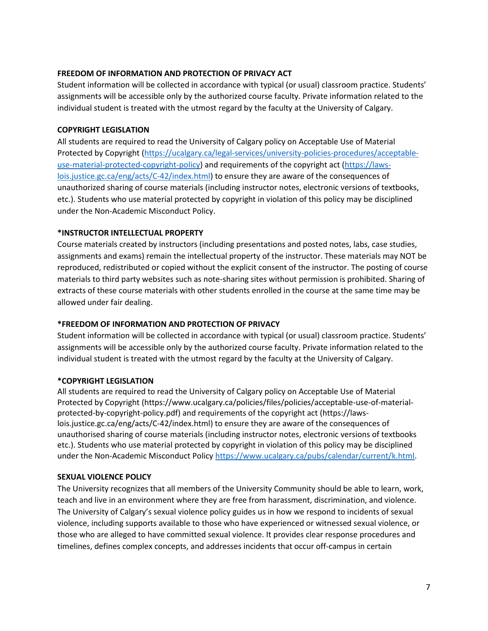### **FREEDOM OF INFORMATION AND PROTECTION OF PRIVACY ACT**

Student information will be collected in accordance with typical (or usual) classroom practice. Students' assignments will be accessible only by the authorized course faculty. Private information related to the individual student is treated with the utmost regard by the faculty at the University of Calgary.

### **COPYRIGHT LEGISLATION**

All students are required to read the University of Calgary policy on Acceptable Use of Material Protected by Copyright [\(https://ucalgary.ca/legal-services/university-policies-procedures/acceptable](https://ucalgary.ca/legal-services/university-policies-procedures/acceptable-use-material-protected-copyright-policy)[use-material-protected-copyright-policy\)](https://ucalgary.ca/legal-services/university-policies-procedures/acceptable-use-material-protected-copyright-policy) and requirements of the copyright act [\(https://laws](https://laws-lois.justice.gc.ca/eng/acts/C-42/index.html)[lois.justice.gc.ca/eng/acts/C-42/index.html\)](https://laws-lois.justice.gc.ca/eng/acts/C-42/index.html) to ensure they are aware of the consequences of unauthorized sharing of course materials (including instructor notes, electronic versions of textbooks, etc.). Students who use material protected by copyright in violation of this policy may be disciplined under the Non-Academic Misconduct Policy.

### **\*INSTRUCTOR INTELLECTUAL PROPERTY**

Course materials created by instructors (including presentations and posted notes, labs, case studies, assignments and exams) remain the intellectual property of the instructor. These materials may NOT be reproduced, redistributed or copied without the explicit consent of the instructor. The posting of course materials to third party websites such as note-sharing sites without permission is prohibited. Sharing of extracts of these course materials with other students enrolled in the course at the same time may be allowed under fair dealing.

# **\*FREEDOM OF INFORMATION AND PROTECTION OF PRIVACY**

Student information will be collected in accordance with typical (or usual) classroom practice. Students' assignments will be accessible only by the authorized course faculty. Private information related to the individual student is treated with the utmost regard by the faculty at the University of Calgary.

# **\*COPYRIGHT LEGISLATION**

All students are required to read the University of Calgary policy on Acceptable Use of Material Protected by Copyright (https://www.ucalgary.ca/policies/files/policies/acceptable-use-of-materialprotected-by-copyright-policy.pdf) and requirements of the copyright act (https://lawslois.justice.gc.ca/eng/acts/C-42/index.html) to ensure they are aware of the consequences of unauthorised sharing of course materials (including instructor notes, electronic versions of textbooks etc.). Students who use material protected by copyright in violation of this policy may be disciplined under the Non-Academic Misconduct Policy [https://www.ucalgary.ca/pubs/calendar/current/k.html.](https://www.ucalgary.ca/pubs/calendar/current/k.html)

### **SEXUAL VIOLENCE POLICY**

The University recognizes that all members of the University Community should be able to learn, work, teach and live in an environment where they are free from harassment, discrimination, and violence. The University of Calgary's sexual violence policy guides us in how we respond to incidents of sexual violence, including supports available to those who have experienced or witnessed sexual violence, or those who are alleged to have committed sexual violence. It provides clear response procedures and timelines, defines complex concepts, and addresses incidents that occur off-campus in certain